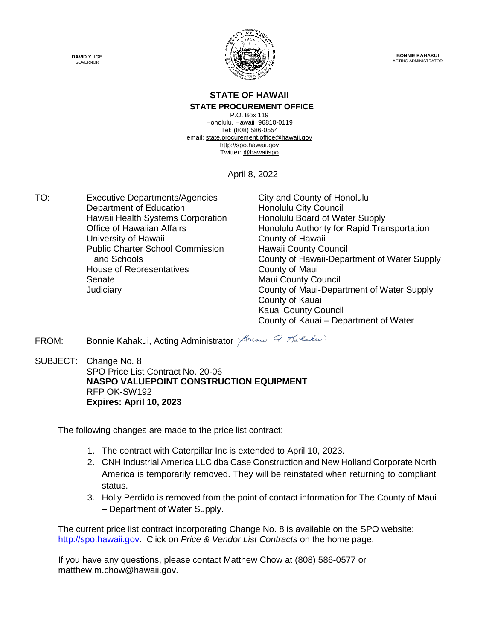



**BONNIE KAHAKUI** ACTING ADMINISTRATOR

#### **STATE OF HAWAII STATE PROCUREMENT OFFICE**

P.O. Box 119 Honolulu, Hawaii 96810-0119 Tel: (808) 586-0554 email: state.procurement.office@hawaii.gov http://spo.hawaii.gov Twitter: @hawaiispo

April 8, 2022

TO: Executive Departments/Agencies City and County of Honolulu Department of Education **Honolulu City Council** Hawaii Health Systems Corporation Honolulu Board of Water Supply University of Hawaii **County of Hawaii** Public Charter School Commission and Schools House of Representatives **County of Maui** Senate **Maui County Council** Maui County Council

Office of Hawaiian Affairs **Honolulu Authority for Rapid Transportation** Hawaii County Council County of Hawaii-Department of Water Supply Judiciary County of Maui-Department of Water Supply County of Kauai Kauai County Council County of Kauai – Department of Water

FROM: Bonnie Kahakui, Acting Administrator *Jonnes & Kartud* 

SUBJECT: Change No. 8 SPO Price List Contract No. 20-06 **NASPO VALUEPOINT CONSTRUCTION EQUIPMENT** RFP OK-SW192 **Expires: April 10, 2023**

The following changes are made to the price list contract:

- 1. The contract with Caterpillar Inc is extended to April 10, 2023.
- 2. CNH Industrial America LLC dba Case Construction and New Holland Corporate North America is temporarily removed. They will be reinstated when returning to compliant status.
- 3. Holly Perdido is removed from the point of contact information for The County of Maui – Department of Water Supply.

The current price list contract incorporating Change No. 8 is available on the SPO website: http://spo.hawaii.gov. Click on *Price & Vendor List Contracts* on the home page.

If you have any questions, please contact Matthew Chow at (808) 586-0577 or matthew.m.chow@hawaii.gov.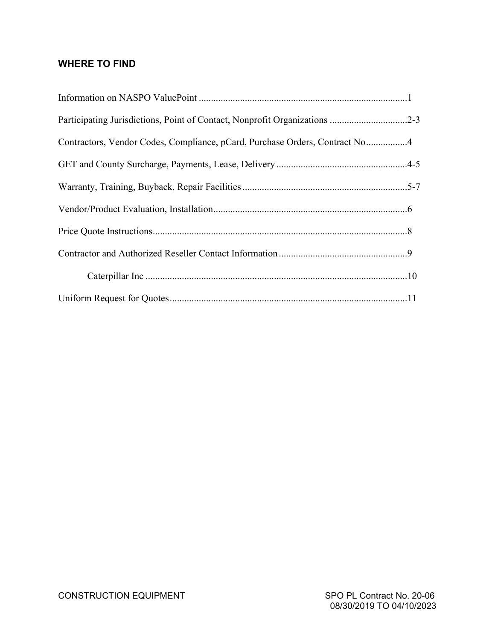### **WHERE TO FIND**

| Participating Jurisdictions, Point of Contact, Nonprofit Organizations 2-3  |  |
|-----------------------------------------------------------------------------|--|
| Contractors, Vendor Codes, Compliance, pCard, Purchase Orders, Contract No4 |  |
|                                                                             |  |
|                                                                             |  |
|                                                                             |  |
|                                                                             |  |
|                                                                             |  |
|                                                                             |  |
|                                                                             |  |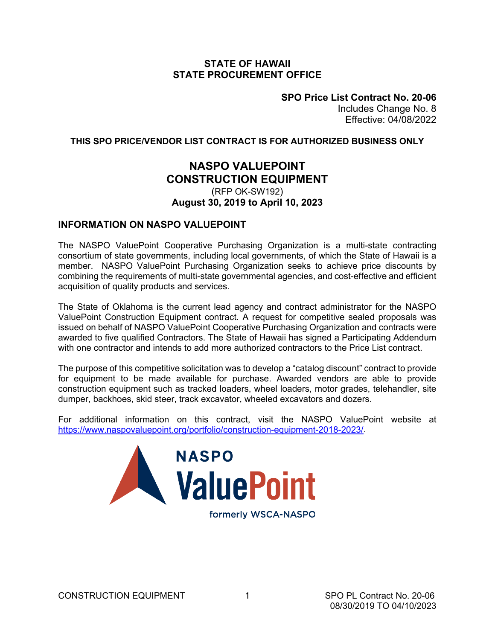### **STATE OF HAWAII STATE PROCUREMENT OFFICE**

**SPO Price List Contract No. 20-06** Includes Change No. 8 Effective: 04/08/2022

#### **THIS SPO PRICE/VENDOR LIST CONTRACT IS FOR AUTHORIZED BUSINESS ONLY**

### **NASPO VALUEPOINT CONSTRUCTION EQUIPMENT**

### (RFP OK-SW192) **August 30, 2019 to April 10, 2023**

### **INFORMATION ON NASPO VALUEPOINT**

The NASPO ValuePoint Cooperative Purchasing Organization is a multi-state contracting consortium of state governments, including local governments, of which the State of Hawaii is a member. NASPO ValuePoint Purchasing Organization seeks to achieve price discounts by combining the requirements of multi-state governmental agencies, and cost-effective and efficient acquisition of quality products and services.

The State of Oklahoma is the current lead agency and contract administrator for the NASPO ValuePoint Construction Equipment contract. A request for competitive sealed proposals was issued on behalf of NASPO ValuePoint Cooperative Purchasing Organization and contracts were awarded to five qualified Contractors. The State of Hawaii has signed a Participating Addendum with one contractor and intends to add more authorized contractors to the Price List contract.

The purpose of this competitive solicitation was to develop a "catalog discount" contract to provide for equipment to be made available for purchase. Awarded vendors are able to provide construction equipment such as tracked loaders, wheel loaders, motor grades, telehandler, site dumper, backhoes, skid steer, track excavator, wheeled excavators and dozers.

For additional information on this contract, visit the NASPO ValuePoint website at [https://www.naspovaluepoint.org/portfolio/construction-equipment-2018-2023/.](https://www.naspovaluepoint.org/portfolio/construction-equipment-2018-2023/)



formerly WSCA-NASPO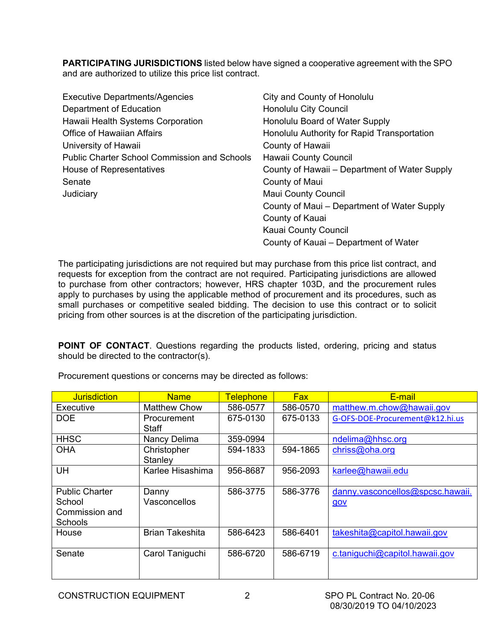**PARTICIPATING JURISDICTIONS** listed below have signed a cooperative agreement with the SPO and are authorized to utilize this price list contract.

| <b>Executive Departments/Agencies</b>               | City and County of Honolulu                   |
|-----------------------------------------------------|-----------------------------------------------|
| Department of Education                             | Honolulu City Council                         |
| Hawaii Health Systems Corporation                   | Honolulu Board of Water Supply                |
| <b>Office of Hawaiian Affairs</b>                   | Honolulu Authority for Rapid Transportation   |
| University of Hawaii                                | County of Hawaii                              |
| <b>Public Charter School Commission and Schools</b> | <b>Hawaii County Council</b>                  |
| House of Representatives                            | County of Hawaii – Department of Water Supply |
| Senate                                              | County of Maui                                |
| Judiciary                                           | <b>Maui County Council</b>                    |
|                                                     | County of Maui - Department of Water Supply   |
|                                                     | County of Kauai                               |
|                                                     | <b>Kauai County Council</b>                   |
|                                                     | County of Kauai – Department of Water         |

The participating jurisdictions are not required but may purchase from this price list contract, and requests for exception from the contract are not required. Participating jurisdictions are allowed to purchase from other contractors; however, HRS chapter 103D, and the procurement rules apply to purchases by using the applicable method of procurement and its procedures, such as small purchases or competitive sealed bidding. The decision to use this contract or to solicit pricing from other sources is at the discretion of the participating jurisdiction.

**POINT OF CONTACT**. Questions regarding the products listed, ordering, pricing and status should be directed to the contractor(s).

| <b>Jurisdiction</b>                                                 | <b>Name</b>                 | <b>Telephone</b> | <b>Fax</b> | E-mail                                  |
|---------------------------------------------------------------------|-----------------------------|------------------|------------|-----------------------------------------|
| Executive                                                           | <b>Matthew Chow</b>         | 586-0577         | 586-0570   | matthew.m.chow@hawaii.gov               |
| <b>DOE</b>                                                          | <b>Procurement</b><br>Staff | 675-0130         | 675-0133   | G-OFS-DOE-Procurement@k12.hi.us         |
| <b>HHSC</b>                                                         | Nancy Delima                | 359-0994         |            | ndelima@hhsc.org                        |
| <b>OHA</b>                                                          | Christopher<br>Stanley      | 594-1833         | 594-1865   | chriss@oha.org                          |
| UH                                                                  | Karlee Hisashima            | 956-8687         | 956-2093   | karlee@hawaii.edu                       |
| <b>Public Charter</b><br>School<br>Commission and<br><b>Schools</b> | Danny<br>Vasconcellos       | 586-3775         | 586-3776   | danny.vasconcellos@spcsc.hawaii.<br>gov |
| House                                                               | <b>Brian Takeshita</b>      | 586-6423         | 586-6401   | takeshita@capitol.hawaii.gov            |
| Senate                                                              | Carol Taniguchi             | 586-6720         | 586-6719   | c.taniguchi@capitol.hawaii.gov          |

Procurement questions or concerns may be directed as follows: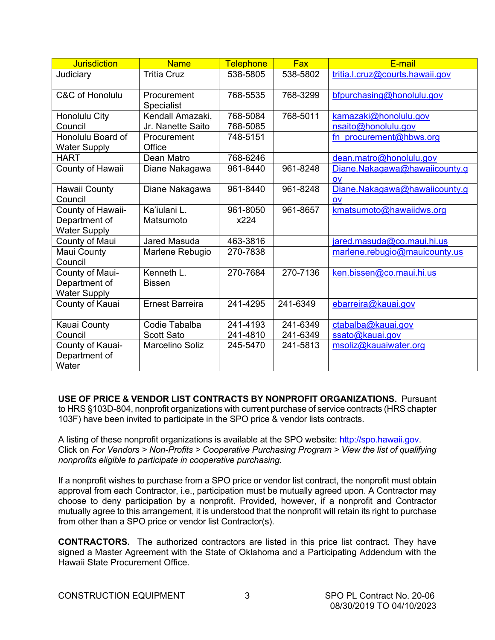| <b>Jurisdiction</b>                      | <b>Name</b>                      | <b>Telephone</b> | <b>Fax</b> | E-mail                          |
|------------------------------------------|----------------------------------|------------------|------------|---------------------------------|
| Judiciary                                | <b>Tritia Cruz</b>               | 538-5805         | 538-5802   | tritia.l.cruz@courts.hawaii.gov |
| C&C of Honolulu                          | Procurement<br><b>Specialist</b> | 768-5535         | 768-3299   | bfpurchasing@honolulu.gov       |
| Honolulu City                            | Kendall Amazaki,                 | 768-5084         | 768-5011   | kamazaki@honolulu.gov           |
| Council                                  | Jr. Nanette Saito                | 768-5085         |            | nsaito@honolulu.gov             |
| Honolulu Board of<br><b>Water Supply</b> | Procurement<br>Office            | 748-5151         |            | fn procurement@hbws.org         |
| <b>HART</b>                              | Dean Matro                       | 768-6246         |            | dean.matro@honolulu.gov         |
| County of Hawaii                         | Diane Nakagawa                   | 961-8440         | 961-8248   | Diane.Nakagawa@hawaiicounty.g   |
|                                          |                                  |                  |            | OV                              |
| Hawaii County                            | Diane Nakagawa                   | 961-8440         | 961-8248   | Diane.Nakagawa@hawaiicounty.g   |
| Council                                  |                                  |                  |            | OV                              |
| County of Hawaii-                        | Ka'iulani L.                     | 961-8050         | 961-8657   | kmatsumoto@hawaiidws.org        |
| Department of                            | Matsumoto                        | x224             |            |                                 |
| <b>Water Supply</b>                      |                                  |                  |            |                                 |
| County of Maui                           | Jared Masuda                     | 463-3816         |            | jared.masuda@co.maui.hi.us      |
| Maui County<br>Council                   | Marlene Rebugio                  | 270-7838         |            | marlene.rebugio@mauicounty.us   |
| County of Maui-                          | Kenneth L.                       | 270-7684         | 270-7136   | ken.bissen@co.maui.hi.us        |
| Department of                            | <b>Bissen</b>                    |                  |            |                                 |
| <b>Water Supply</b>                      |                                  |                  |            |                                 |
| County of Kauai                          | <b>Ernest Barreira</b>           | 241-4295         | 241-6349   | ebarreira@kauai.gov             |
| Kauai County                             | Codie Tabalba                    | 241-4193         | 241-6349   | ctabalba@kauai.gov              |
| Council                                  | Scott Sato                       | 241-4810         | 241-6349   | ssato@kauai.gov                 |
| County of Kauai-                         | <b>Marcelino Soliz</b>           | 245-5470         | 241-5813   | msoliz@kauaiwater.org           |
| Department of                            |                                  |                  |            |                                 |
| Water                                    |                                  |                  |            |                                 |

**USE OF PRICE & VENDOR LIST CONTRACTS BY NONPROFIT ORGANIZATIONS.** Pursuant to HRS §103D-804, nonprofit organizations with current purchase of service contracts (HRS chapter 103F) have been invited to participate in the SPO price & vendor lists contracts.

A listing of these nonprofit organizations is available at the SPO website: [http://spo.hawaii.gov.](http://spo.hawaii.gov/) Click on *For Vendors > Non-Profits > Cooperative Purchasing Program > View the list of qualifying nonprofits eligible to participate in cooperative purchasing.*

If a nonprofit wishes to purchase from a SPO price or vendor list contract, the nonprofit must obtain approval from each Contractor, i.e., participation must be mutually agreed upon. A Contractor may choose to deny participation by a nonprofit. Provided, however, if a nonprofit and Contractor mutually agree to this arrangement, it is understood that the nonprofit will retain its right to purchase from other than a SPO price or vendor list Contractor(s).

**CONTRACTORS.** The authorized contractors are listed in this price list contract. They have signed a Master Agreement with the State of Oklahoma and a Participating Addendum with the Hawaii State Procurement Office.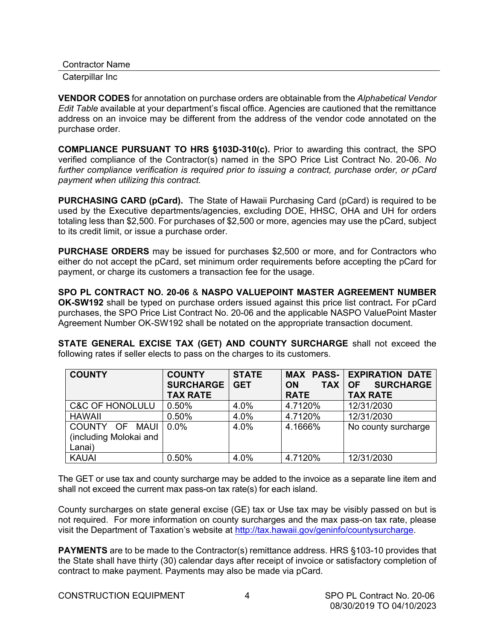| <b>Contractor Name</b> |  |
|------------------------|--|
|                        |  |

Caterpillar Inc

**VENDOR CODES** for annotation on purchase orders are obtainable from the *Alphabetical Vendor Edit Table* available at your department's fiscal office. Agencies are cautioned that the remittance address on an invoice may be different from the address of the vendor code annotated on the purchase order.

**COMPLIANCE PURSUANT TO HRS §103D-310(c).** Prior to awarding this contract, the SPO verified compliance of the Contractor(s) named in the SPO Price List Contract No. 20-06. *No further compliance verification is required prior to issuing a contract, purchase order, or pCard payment when utilizing this contract.*

**PURCHASING CARD (pCard).** The State of Hawaii Purchasing Card (pCard) is required to be used by the Executive departments/agencies, excluding DOE, HHSC, OHA and UH for orders totaling less than \$2,500. For purchases of \$2,500 or more, agencies may use the pCard, subject to its credit limit, or issue a purchase order.

**PURCHASE ORDERS** may be issued for purchases \$2,500 or more, and for Contractors who either do not accept the pCard, set minimum order requirements before accepting the pCard for payment, or charge its customers a transaction fee for the usage.

**SPO PL CONTRACT NO. 20-06** & **NASPO VALUEPOINT MASTER AGREEMENT NUMBER OK-SW192** shall be typed on purchase orders issued against this price list contract**.** For pCard purchases, the SPO Price List Contract No. 20-06 and the applicable NASPO ValuePoint Master Agreement Number OK-SW192 shall be notated on the appropriate transaction document.

**STATE GENERAL EXCISE TAX (GET) AND COUNTY SURCHARGE** shall not exceed the following rates if seller elects to pass on the charges to its customers.

| <b>COUNTY</b>              | <b>COUNTY</b><br><b>SURCHARGE</b> | <b>STATE</b><br><b>GET</b> | <b>TAX</b><br><b>ON</b> | <b>MAX PASS- EXPIRATION DATE</b><br><b>SURCHARGE</b><br><b>OF</b> |
|----------------------------|-----------------------------------|----------------------------|-------------------------|-------------------------------------------------------------------|
|                            | <b>TAX RATE</b>                   |                            | <b>RATE</b>             | <b>TAX RATE</b>                                                   |
| <b>C&amp;C OF HONOLULU</b> | 0.50%                             | 4.0%                       | 4.7120%                 | 12/31/2030                                                        |
| <b>HAWAII</b>              | 0.50%                             | 4.0%                       | 4.7120%                 | 12/31/2030                                                        |
| COUNTY OF<br><b>MAUI</b>   | $0.0\%$                           | 4.0%                       | 4.1666%                 | No county surcharge                                               |
| (including Molokai and     |                                   |                            |                         |                                                                   |
| Lanai)                     |                                   |                            |                         |                                                                   |
| <b>KAUAI</b>               | 0.50%                             | 4.0%                       | 4.7120%                 | 12/31/2030                                                        |

The GET or use tax and county surcharge may be added to the invoice as a separate line item and shall not exceed the current max pass-on tax rate(s) for each island.

County surcharges on state general excise (GE) tax or Use tax may be visibly passed on but is not required. For more information on county surcharges and the max pass-on tax rate, please visit the Department of Taxation's website at [http://tax.hawaii.gov/geninfo/countysurcharge.](http://tax.hawaii.gov/geninfo/countysurcharge)

**PAYMENTS** are to be made to the Contractor(s) remittance address. HRS §103-10 provides that the State shall have thirty (30) calendar days after receipt of invoice or satisfactory completion of contract to make payment. Payments may also be made via pCard.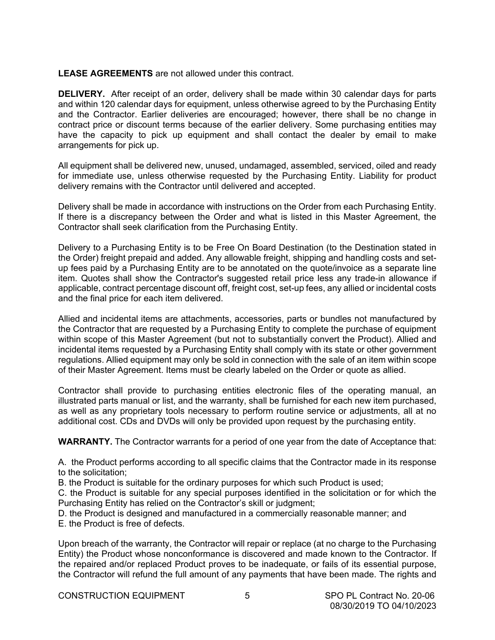#### **LEASE AGREEMENTS** are not allowed under this contract.

**DELIVERY.** After receipt of an order, delivery shall be made within 30 calendar days for parts and within 120 calendar days for equipment, unless otherwise agreed to by the Purchasing Entity and the Contractor. Earlier deliveries are encouraged; however, there shall be no change in contract price or discount terms because of the earlier delivery. Some purchasing entities may have the capacity to pick up equipment and shall contact the dealer by email to make arrangements for pick up.

All equipment shall be delivered new, unused, undamaged, assembled, serviced, oiled and ready for immediate use, unless otherwise requested by the Purchasing Entity. Liability for product delivery remains with the Contractor until delivered and accepted.

Delivery shall be made in accordance with instructions on the Order from each Purchasing Entity. If there is a discrepancy between the Order and what is listed in this Master Agreement, the Contractor shall seek clarification from the Purchasing Entity.

Delivery to a Purchasing Entity is to be Free On Board Destination (to the Destination stated in the Order) freight prepaid and added. Any allowable freight, shipping and handling costs and setup fees paid by a Purchasing Entity are to be annotated on the quote/invoice as a separate line item. Quotes shall show the Contractor's suggested retail price less any trade-in allowance if applicable, contract percentage discount off, freight cost, set-up fees, any allied or incidental costs and the final price for each item delivered.

Allied and incidental items are attachments, accessories, parts or bundles not manufactured by the Contractor that are requested by a Purchasing Entity to complete the purchase of equipment within scope of this Master Agreement (but not to substantially convert the Product). Allied and incidental items requested by a Purchasing Entity shall comply with its state or other government regulations. Allied equipment may only be sold in connection with the sale of an item within scope of their Master Agreement. Items must be clearly labeled on the Order or quote as allied.

Contractor shall provide to purchasing entities electronic files of the operating manual, an illustrated parts manual or list, and the warranty, shall be furnished for each new item purchased, as well as any proprietary tools necessary to perform routine service or adjustments, all at no additional cost. CDs and DVDs will only be provided upon request by the purchasing entity.

**WARRANTY.** The Contractor warrants for a period of one year from the date of Acceptance that:

A. the Product performs according to all specific claims that the Contractor made in its response to the solicitation;

B. the Product is suitable for the ordinary purposes for which such Product is used;

C. the Product is suitable for any special purposes identified in the solicitation or for which the Purchasing Entity has relied on the Contractor's skill or judgment;

D. the Product is designed and manufactured in a commercially reasonable manner; and E. the Product is free of defects.

Upon breach of the warranty, the Contractor will repair or replace (at no charge to the Purchasing Entity) the Product whose nonconformance is discovered and made known to the Contractor. If the repaired and/or replaced Product proves to be inadequate, or fails of its essential purpose, the Contractor will refund the full amount of any payments that have been made. The rights and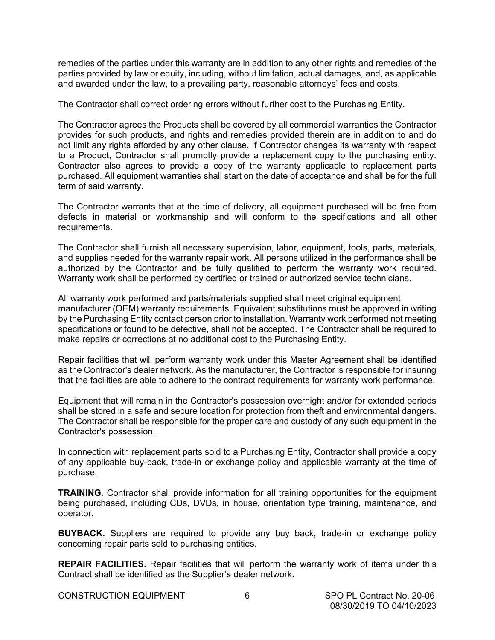remedies of the parties under this warranty are in addition to any other rights and remedies of the parties provided by law or equity, including, without limitation, actual damages, and, as applicable and awarded under the law, to a prevailing party, reasonable attorneys' fees and costs.

The Contractor shall correct ordering errors without further cost to the Purchasing Entity.

The Contractor agrees the Products shall be covered by all commercial warranties the Contractor provides for such products, and rights and remedies provided therein are in addition to and do not limit any rights afforded by any other clause. If Contractor changes its warranty with respect to a Product, Contractor shall promptly provide a replacement copy to the purchasing entity. Contractor also agrees to provide a copy of the warranty applicable to replacement parts purchased. All equipment warranties shall start on the date of acceptance and shall be for the full term of said warranty.

The Contractor warrants that at the time of delivery, all equipment purchased will be free from defects in material or workmanship and will conform to the specifications and all other requirements.

The Contractor shall furnish all necessary supervision, labor, equipment, tools, parts, materials, and supplies needed for the warranty repair work. All persons utilized in the performance shall be authorized by the Contractor and be fully qualified to perform the warranty work required. Warranty work shall be performed by certified or trained or authorized service technicians.

All warranty work performed and parts/materials supplied shall meet original equipment manufacturer (OEM) warranty requirements. Equivalent substitutions must be approved in writing by the Purchasing Entity contact person prior to installation. Warranty work performed not meeting specifications or found to be defective, shall not be accepted. The Contractor shall be required to make repairs or corrections at no additional cost to the Purchasing Entity.

Repair facilities that will perform warranty work under this Master Agreement shall be identified as the Contractor's dealer network. As the manufacturer, the Contractor is responsible for insuring that the facilities are able to adhere to the contract requirements for warranty work performance.

Equipment that will remain in the Contractor's possession overnight and/or for extended periods shall be stored in a safe and secure location for protection from theft and environmental dangers. The Contractor shall be responsible for the proper care and custody of any such equipment in the Contractor's possession.

In connection with replacement parts sold to a Purchasing Entity, Contractor shall provide a copy of any applicable buy-back, trade-in or exchange policy and applicable warranty at the time of purchase.

**TRAINING.** Contractor shall provide information for all training opportunities for the equipment being purchased, including CDs, DVDs, in house, orientation type training, maintenance, and operator.

**BUYBACK.** Suppliers are required to provide any buy back, trade-in or exchange policy concerning repair parts sold to purchasing entities.

**REPAIR FACILITIES.** Repair facilities that will perform the warranty work of items under this Contract shall be identified as the Supplier's dealer network.

CONSTRUCTION EQUIPMENT 6SPO PL Contract No. 20-06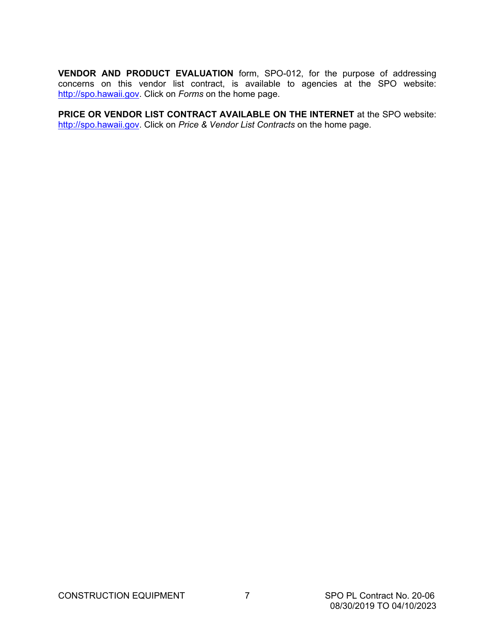**VENDOR AND PRODUCT EVALUATION** form, SPO-012, for the purpose of addressing concerns on this vendor list contract, is available to agencies at the SPO website: [http://spo.hawaii.gov.](http://spo.hawaii.gov/) Click on *Forms* on the home page.

**PRICE OR VENDOR LIST CONTRACT AVAILABLE ON THE INTERNET** at the SPO website: [http://spo.hawaii.gov.](http://spo.hawaii.gov/) Click on *Price & Vendor List Contracts* on the home page.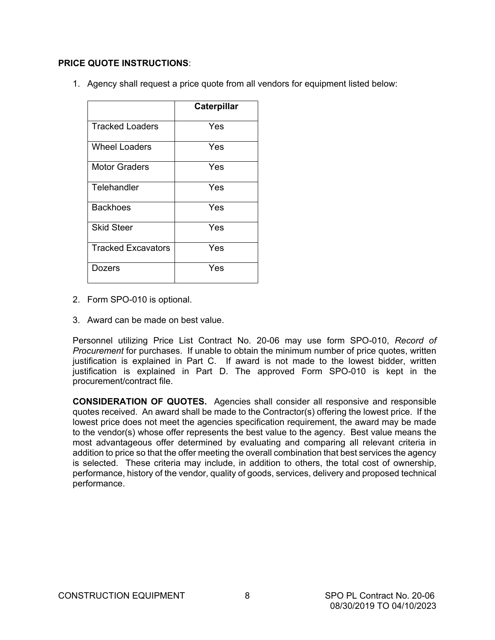#### **PRICE QUOTE INSTRUCTIONS**:

1. Agency shall request a price quote from all vendors for equipment listed below:

|                        | Caterpillar |
|------------------------|-------------|
| <b>Tracked Loaders</b> | Yes         |
| <b>Wheel Loaders</b>   | Yes         |
| Motor Graders          | Yes         |
| Telehandler            | Yes         |
| <b>Backhoes</b>        | Yes         |
| <b>Skid Steer</b>      | Yes         |
| Tracked Excavators     | Yes         |
| Dozers                 | Yes         |

- 2. Form SPO-010 is optional.
- 3. Award can be made on best value.

Personnel utilizing Price List Contract No. 20-06 may use form SPO-010, *Record of Procurement* for purchases.If unable to obtain the minimum number of price quotes, written justification is explained in Part C. If award is not made to the lowest bidder, written justification is explained in Part D. The approved Form SPO-010 is kept in the procurement/contract file.

**CONSIDERATION OF QUOTES.** Agencies shall consider all responsive and responsible quotes received. An award shall be made to the Contractor(s) offering the lowest price. If the lowest price does not meet the agencies specification requirement, the award may be made to the vendor(s) whose offer represents the best value to the agency. Best value means the most advantageous offer determined by evaluating and comparing all relevant criteria in addition to price so that the offer meeting the overall combination that best services the agency is selected. These criteria may include, in addition to others, the total cost of ownership, performance, history of the vendor, quality of goods, services, delivery and proposed technical performance.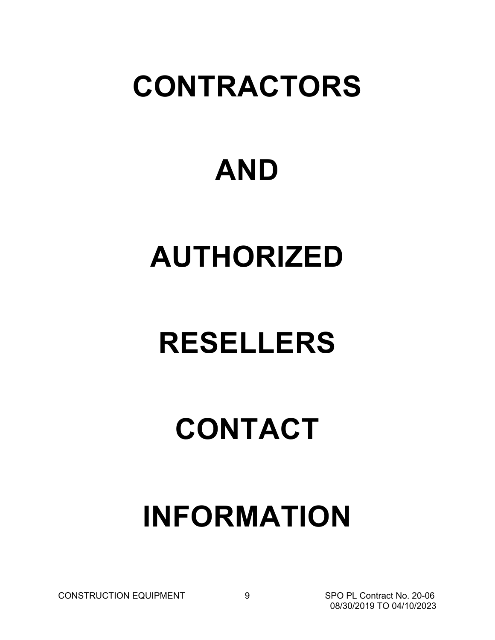### **CONTRACTORS**

### **AND**

# **AUTHORIZED**

## **RESELLERS**

## **CONTACT**

### **INFORMATION**

CONSTRUCTION EQUIPMENT 9 SPO PL Contract No. 20-06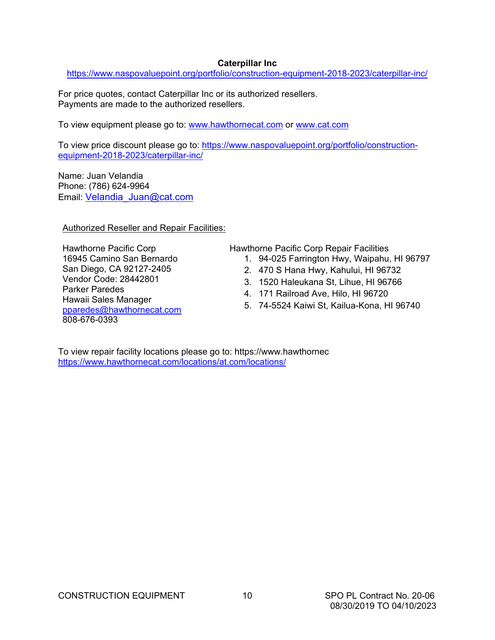### **Caterpillar Inc**

<https://www.naspovaluepoint.org/portfolio/construction-equipment-2018-2023/caterpillar-inc/>

For price quotes, contact Caterpillar Inc or its authorized resellers. Payments are made to the authorized resellers.

To view equipment please go to: [www.hawthornecat.com](http://www.hawthornecat.com/) or [www.cat.com](http://www.cat.com/)

To view price discount please go to: [https://www.naspovaluepoint.org/portfolio/construction](https://www.naspovaluepoint.org/portfolio/construction-equipment-2018-2023/caterpillar-inc/)[equipment-2018-2023/caterpillar-inc/](https://www.naspovaluepoint.org/portfolio/construction-equipment-2018-2023/caterpillar-inc/)

Name: Juan Velandia Phone: (786) 624-9964 Email: [Velandia\\_Juan@cat.com](mailto:Velandia_Juan@cat.com)

Authorized Reseller and Repair Facilities:

Hawthorne Pacific Corp 16945 Camino San Bernardo San Diego, CA 92127-2405 Vendor Code: 28442801 Parker Paredes Hawaii Sales Manager [pparedes@hawthornecat.com](mailto:pparedes@hawthornecat.com) 808-676-0393

Hawthorne Pacific Corp Repair Facilities

- 1. 94-025 Farrington Hwy, Waipahu, HI 96797
- 2. 470 S Hana Hwy, Kahului, HI 96732
- 3. 1520 Haleukana St, Lihue, HI 96766
- 4. 171 Railroad Ave, Hilo, HI 96720
- 5. 74-5524 Kaiwi St, Kailua-Kona, HI 96740

To view repair facility locations please go to: https://www.hawthornec <https://www.hawthornecat.com/locations/at.com/locations/>